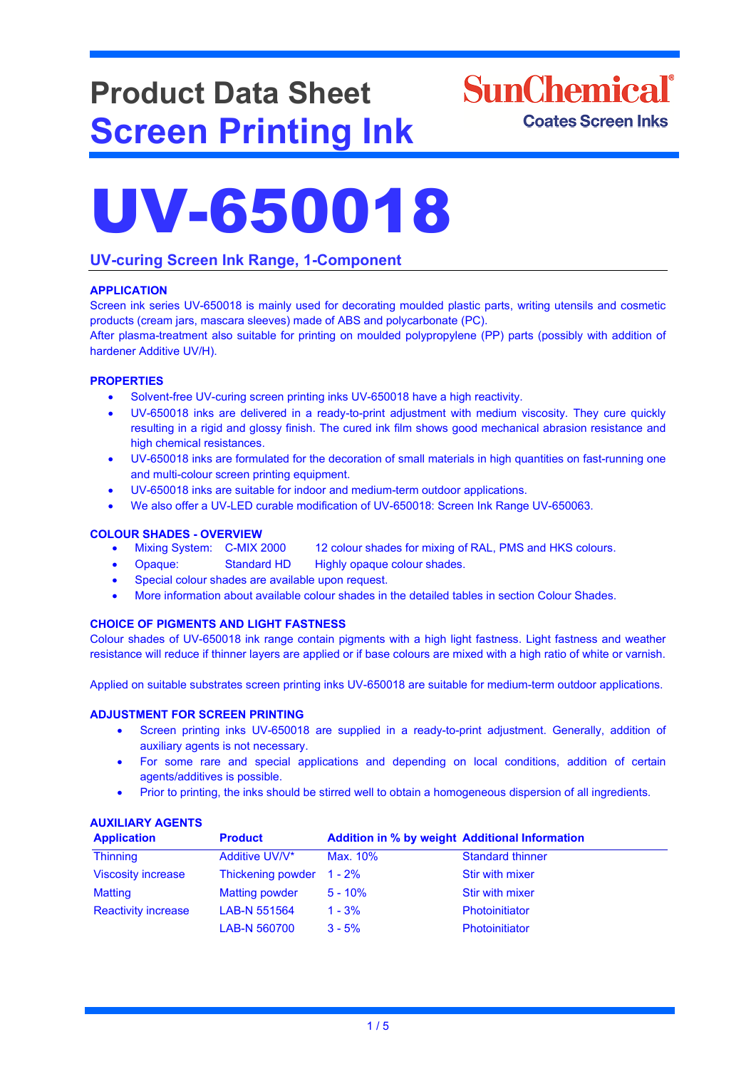# **Product Data Sheet Screen Printing Ink**

## **SunChemical**<sup>®</sup> **Coates Screen Inks**

# UV-650018

## **UV-curing Screen Ink Range, 1-Component**

## **APPLICATION**

Screen ink series UV-650018 is mainly used for decorating moulded plastic parts, writing utensils and cosmetic products (cream jars, mascara sleeves) made of ABS and polycarbonate (PC).

After plasma-treatment also suitable for printing on moulded polypropylene (PP) parts (possibly with addition of hardener Additive UV/H).

#### **PROPERTIES**

- Solvent-free UV-curing screen printing inks UV-650018 have a high reactivity.
- UV-650018 inks are delivered in a ready-to-print adjustment with medium viscosity. They cure quickly resulting in a rigid and glossy finish. The cured ink film shows good mechanical abrasion resistance and high chemical resistances.
- UV-650018 inks are formulated for the decoration of small materials in high quantities on fast-running one and multi-colour screen printing equipment.
- UV-650018 inks are suitable for indoor and medium-term outdoor applications.
- We also offer a UV-LED curable modification of UV-650018: Screen Ink Range UV-650063.

#### **COLOUR SHADES - OVERVIEW**

- Mixing System: C-MIX 2000 12 colour shades for mixing of RAL, PMS and HKS colours.
- Opaque: Standard HD Highly opaque colour shades.
- Special colour shades are available upon request.
- More information about available colour shades in the detailed tables in section Colour Shades.

## **CHOICE OF PIGMENTS AND LIGHT FASTNESS**

Colour shades of UV-650018 ink range contain pigments with a high light fastness. Light fastness and weather resistance will reduce if thinner layers are applied or if base colours are mixed with a high ratio of white or varnish.

Applied on suitable substrates screen printing inks UV-650018 are suitable for medium-term outdoor applications.

#### **ADJUSTMENT FOR SCREEN PRINTING**

- Screen printing inks UV-650018 are supplied in a ready-to-print adjustment. Generally, addition of auxiliary agents is not necessary.
- For some rare and special applications and depending on local conditions, addition of certain agents/additives is possible.
- Prior to printing, the inks should be stirred well to obtain a homogeneous dispersion of all ingredients.

## **AUXILIARY AGENTS**

| <b>Application</b>         | <b>Product</b>           | <b>Addition in % by weight Additional Information</b> |                         |
|----------------------------|--------------------------|-------------------------------------------------------|-------------------------|
| <b>Thinning</b>            | Additive UV/V*           | Max. 10%                                              | <b>Standard thinner</b> |
| <b>Viscosity increase</b>  | Thickening powder 1 - 2% |                                                       | Stir with mixer         |
| Matting                    | <b>Matting powder</b>    | $5 - 10%$                                             | Stir with mixer         |
| <b>Reactivity increase</b> | LAB-N 551564             | $1 - 3%$                                              | Photoinitiator          |
|                            | LAB-N 560700             | $3 - 5%$                                              | <b>Photoinitiator</b>   |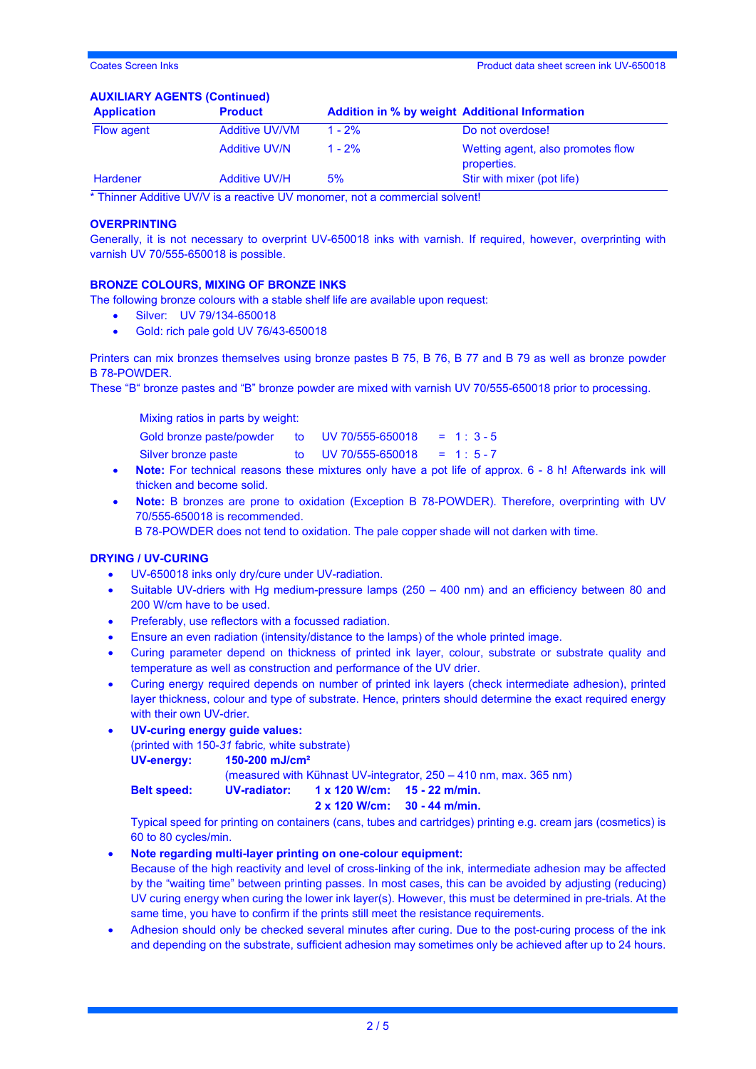#### **AUXILIARY AGENTS (Continued)**

| <b>Application</b> | <b>Product</b>        |           | <b>Addition in % by weight Additional Information</b> |
|--------------------|-----------------------|-----------|-------------------------------------------------------|
| Flow agent         | <b>Additive UV/VM</b> | $1 - 2\%$ | Do not overdose!                                      |
|                    | <b>Additive UV/N</b>  | $1 - 2%$  | Wetting agent, also promotes flow<br>properties.      |
| Hardener           | <b>Additive UV/H</b>  | 5%        | Stir with mixer (pot life)                            |

\* Thinner Additive UV/V is a reactive UV monomer, not a commercial solvent!

#### **OVERPRINTING**

Generally, it is not necessary to overprint UV-650018 inks with varnish. If required, however, overprinting with varnish UV 70/555-650018 is possible.

#### **BRONZE COLOURS, MIXING OF BRONZE INKS**

The following bronze colours with a stable shelf life are available upon request:

- Silver: UV 79/134-650018
- Gold: rich pale gold UV 76/43-650018

Printers can mix bronzes themselves using bronze pastes B 75, B 76, B 77 and B 79 as well as bronze powder B 78-POWDER.

These "B" bronze pastes and "B" bronze powder are mixed with varnish UV 70/555-650018 prior to processing.

Mixing ratios in parts by weight:

- Gold bronze paste/powder to UV 70/555-650018 = 1 : 3 5
	- Silver bronze paste to UV 70/555-650018 = 1 : 5 7
- **Note:** For technical reasons these mixtures only have a pot life of approx. 6 8 h! Afterwards ink will thicken and become solid.
- **Note:** B bronzes are prone to oxidation (Exception B 78-POWDER). Therefore, overprinting with UV 70/555-650018 is recommended.

B 78-POWDER does not tend to oxidation. The pale copper shade will not darken with time.

#### **DRYING / UV-CURING**

- UV-650018 inks only dry/cure under UV-radiation.
- Suitable UV-driers with Hg medium-pressure lamps (250 400 nm) and an efficiency between 80 and 200 W/cm have to be used.
- Preferably, use reflectors with a focussed radiation.
- Ensure an even radiation (intensity/distance to the lamps) of the whole printed image.
- Curing parameter depend on thickness of printed ink layer, colour, substrate or substrate quality and temperature as well as construction and performance of the UV drier.
- Curing energy required depends on number of printed ink layers (check intermediate adhesion), printed layer thickness, colour and type of substrate. Hence, printers should determine the exact required energy with their own UV-drier.
- **UV-curing energy guide values:**

(printed with 150-*31* fabric*,* white substrate)

**UV-energy: 150-200 mJ/cm²**

(measured with Kühnast UV-integrator, 250 – 410 nm, max. 365 nm)

**Belt speed: UV-radiator: 1 x 120 W/cm: 15 - 22 m/min.**

**2 x 120 W/cm: 30 - 44 m/min.**

Typical speed for printing on containers (cans, tubes and cartridges) printing e.g. cream jars (cosmetics) is 60 to 80 cycles/min.

• **Note regarding multi-layer printing on one-colour equipment:**

Because of the high reactivity and level of cross-linking of the ink, intermediate adhesion may be affected by the "waiting time" between printing passes. In most cases, this can be avoided by adjusting (reducing) UV curing energy when curing the lower ink layer(s). However, this must be determined in pre-trials. At the same time, you have to confirm if the prints still meet the resistance requirements.

• Adhesion should only be checked several minutes after curing. Due to the post-curing process of the ink and depending on the substrate, sufficient adhesion may sometimes only be achieved after up to 24 hours.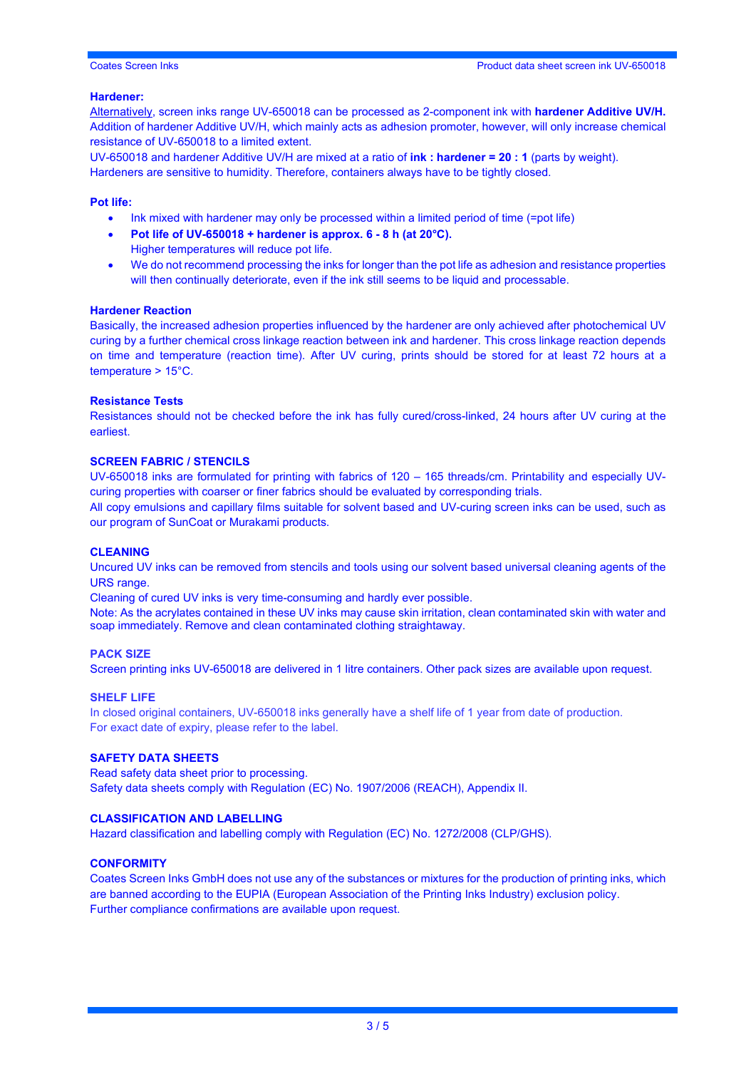#### **Hardener:**

Alternatively, screen inks range UV-650018 can be processed as 2-component ink with **hardener Additive UV/H.**  Addition of hardener Additive UV/H, which mainly acts as adhesion promoter, however, will only increase chemical resistance of UV-650018 to a limited extent.

UV-650018 and hardener Additive UV/H are mixed at a ratio of **ink : hardener = 20 : 1** (parts by weight). Hardeners are sensitive to humidity. Therefore, containers always have to be tightly closed.

#### **Pot life:**

- Ink mixed with hardener may only be processed within a limited period of time (=pot life)
- **Pot life of UV-650018 + hardener is approx. 6 - 8 h (at 20°C).**

Higher temperatures will reduce pot life.

• We do not recommend processing the inks for longer than the pot life as adhesion and resistance properties will then continually deteriorate, even if the ink still seems to be liquid and processable.

#### **Hardener Reaction**

Basically, the increased adhesion properties influenced by the hardener are only achieved after photochemical UV curing by a further chemical cross linkage reaction between ink and hardener. This cross linkage reaction depends on time and temperature (reaction time). After UV curing, prints should be stored for at least 72 hours at a temperature > 15°C.

#### **Resistance Tests**

Resistances should not be checked before the ink has fully cured/cross-linked, 24 hours after UV curing at the earliest.

#### **SCREEN FABRIC / STENCILS**

UV-650018 inks are formulated for printing with fabrics of 120 – 165 threads/cm. Printability and especially UVcuring properties with coarser or finer fabrics should be evaluated by corresponding trials.

All copy emulsions and capillary films suitable for solvent based and UV-curing screen inks can be used, such as our program of SunCoat or Murakami products.

#### **CLEANING**

Uncured UV inks can be removed from stencils and tools using our solvent based universal cleaning agents of the URS range.

Cleaning of cured UV inks is very time-consuming and hardly ever possible.

Note: As the acrylates contained in these UV inks may cause skin irritation, clean contaminated skin with water and soap immediately. Remove and clean contaminated clothing straightaway.

#### **PACK SIZE**

Screen printing inks UV-650018 are delivered in 1 litre containers. Other pack sizes are available upon request.

#### **SHELF LIFE**

In closed original containers, UV-650018 inks generally have a shelf life of 1 year from date of production. For exact date of expiry, please refer to the label.

#### **SAFETY DATA SHEETS**

Read safety data sheet prior to processing. Safety data sheets comply with Regulation (EC) No. 1907/2006 (REACH), Appendix II.

#### **CLASSIFICATION AND LABELLING**

Hazard classification and labelling comply with Regulation (EC) No. 1272/2008 (CLP/GHS).

#### **CONFORMITY**

Coates Screen Inks GmbH does not use any of the substances or mixtures for the production of printing inks, which are banned according to the EUPIA (European Association of the Printing Inks Industry) exclusion policy. Further compliance confirmations are available upon request.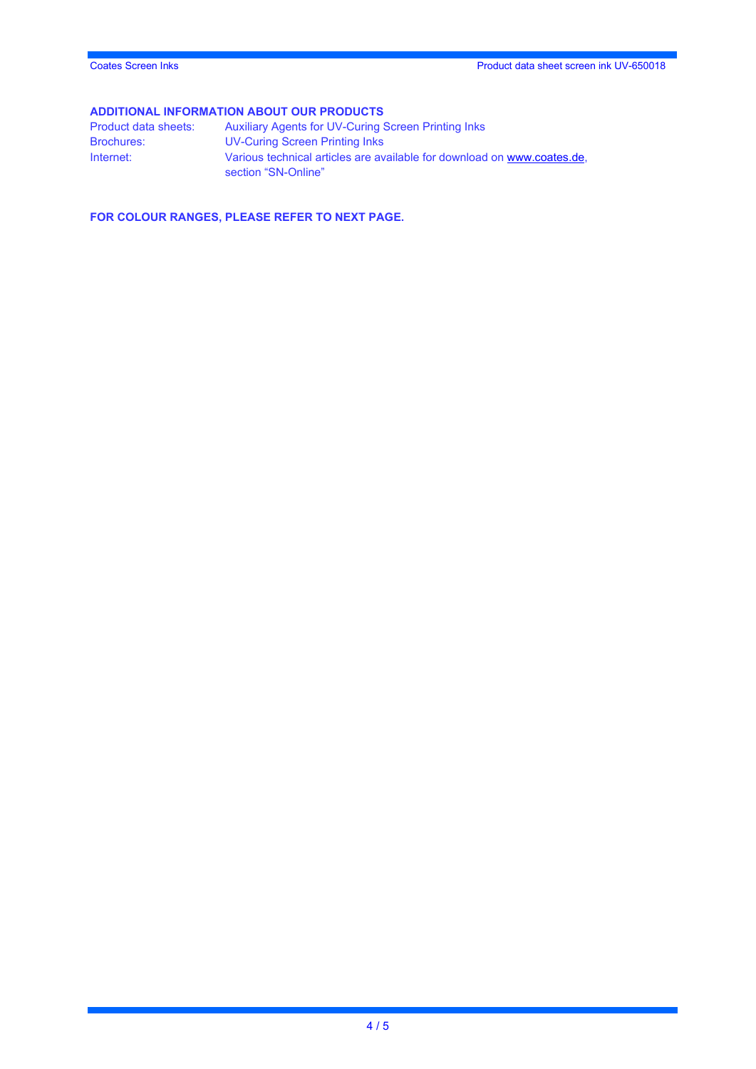**ADDITIONAL INFORMATION ABOUT OUR PRODUCTS**<br>Product data sheets: Auxiliary Agents for UV-Curing ( Product data sheets: Auxiliary Agents for UV-Curing Screen Printing Inks<br>Brochures: UV-Curing Screen Printing Inks UV-Curing Screen Printing Inks Internet: Various technical articles are available for download on [www.coates.de,](http://www.coates.de/) section "SN-Online"

**FOR COLOUR RANGES, PLEASE REFER TO NEXT PAGE.**